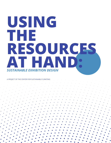# **USING THE RESOURCES AT HAND:** *SUSTAINABLE EXHIBITION DESIGN*

#### A PROJECT OF THE CENTER FOR SUSTAINABLE CURATING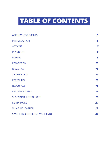# **TABLE OF CONTENTS**

| <b>ACKNOWLEDGEMENTS</b>        | $\overline{\mathbf{3}}$ |
|--------------------------------|-------------------------|
| <b>INTRODUCTION</b>            | 5                       |
| <b>ACTIONS</b>                 | 7                       |
| <b>PLANNING</b>                | 8                       |
| <b>MAKING</b>                  | 9                       |
| <b>ECO-DESIGN</b>              | 10                      |
| <b>DIDACTICS</b>               | 11                      |
| <b>TECHNOLOGY</b>              | 12                      |
| <b>RECYCLING</b>               | 13                      |
| <b>RESOURCES</b>               | 14                      |
| <b>RE-USABLE ITEMS</b>         | 15                      |
| <b>SUSTAINABLE RESOURCES</b>   | 18                      |
| <b>LEARN MORE</b>              | 29                      |
| <b>WHAT WE LEARNED</b>         | 29                      |
| SYNTHETIC COLLECTIVE MANIFESTO | 30                      |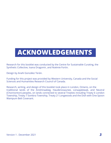# **ACKNOWLEDGEMENTS**

Research for this booklet was conducted by the Centre for Sustainable Curating, the Synthetic Collective, Ioana Dragomir, and Noémie Fortin.

Design by Anahí González Terán.

Funding for this project was provided by Western University, Canada and the Social Sciences and Humanities Research Council of Canada.

Research, writing, and design of this booklet took place in London, Ontario, on the traditional lands of the Anishinaabeg, Haudenosaunee, Lūnaapéewak, and Neutral (Chonnonton) peoples, on lands connected to several Treaties including Treaty 6 London Township, Treaty 7 Sombra Township, Treaty 21 Longwoods and the Dish with One Spoon Wampum Belt Covenant.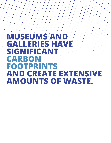**MUSEUMS AND GALLERIES HAVE SIGNIFICANT CARBON FOOTPRINTS AND CREATE EXTENSIVE AMOUNTS OF WASTE.**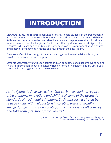# **INTRODUCTION**

*Using the Resources at Hand* is designed primarily to help students in the Department of Visual Arts at Western University think about eco-friendly options in designing exhibitions. Skills learned here can also be used elsewhere, and can help to make the cultural sector more sustainable over the long term. The booklet offers tips for low-carbon design, outlines resources in the community, and includes information on borrowing and sharing resources and materials so that we can reduce and reuse within the department.

Every step of exhibition design, from the initial organization to the deinstallation, can benefit from a lower carbon footprint.

*Using the Resources at Hand* is open-source and can be adapted and used by anyone hoping to share information about ecologically-friendly forms of exhibition design. Email us at sustainable.curating@uwo.ca for the source files.

*As the Synthetic Collective writes, "low carbon exhibitions require extra planning, innovation, and shifting of some of the aesthetic standards of traditional exhibitions. Such approaches should be seen as in line with a global turn in curating towards sociallyengaged projects and slow curating. Take the pressure off yourself and take some pressure off the climate."*

> Synthetic Collective. *Synthetic Collective DIY Fieldguide for Reducing the Environmental Impact of Art Exhibitions*, 2020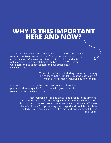## **WHY IS THIS IMPORTANT HERE AND NOW?**

The Great Lakes watershed contains 21% of the world's freshwater reserves, but faces heavy pollution from industry, manufacturing, and agriculture. Chemical pollution, plastic pollution, and nutrient pollution have been devastating to the Great Lakes. We live here, work here, and go to school here, and our actions have consequences.

> Many cities in Ontario, including London, are running out of space in their landfills. Creating less waste is a much better solution than building new landfills.

Plastics manufacturing in the Great Lakes region is linked with poor air and water quality. Exhibition-making uses extensive plastics, but we can change this.

> Treaty responsibilities and obligations invoked in the territorial acknowledgment included in *Using the Resources at Hand* call on those living in London to work toward improving water quality in the Thames River/Deshkaan Ziibi, preventing waste export and landfills being built on Indigenous territory, and resisting air, land, and water pollution in the region.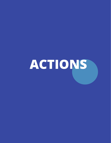# **ACTIONS**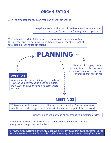**ORGANIZATION**

Even the smallest changes can make an overall difference.

Everything from sending emails to designing floor plans uses energy. Online doesn't always mean "greener."

The carbon footprint of devices and personal computers, as well as the Internet and the systems supporting it, account for about 3.7% of total global greenhouse emissions.



While undergraduate exhibitions likely won't involve a lot of travel, extensive travel is one of the biggest contributors to the carbon output of the art world.

Is it possible to walk or take public transit to a meeting or class?

Phone calls and video-free communications are excellent alternatives to energy intensive programs like Zoom.

*Poor planning and leaving everything until the last minute often results in waste as hasty decisions are made. Eco-conscious exhibitions take careful time-management and allocation of resources.*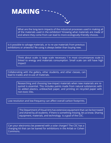

What are the long-term impacts of the industrial processes used in making all of the materials used in the exhibition? Knowing what materials are made of and where they come from can lead to more ecologically-friendly choices.

Is it possible to salvage materials, or to re-use materials from previous exhibitions or artworks? Re-using is always better than buying new.

> Think about scale: is large scale necessary ? In most circumstances scale is linked to energy and materials consumption. Small scale can still have high impact!

Collaborating with the gallery, other students, and other classes, can lead to trades and re-use of materials.

> Researching and choosing low-impact materials when new materials are required is essential. This includes paints made from natural substances with no added plastics, unbleached paper, and printing on recycled paper with non-toxic inks.

Low-resolution and low-frequency can affect overall carbon footprints.

The Department of Visual Arts has extensive equipment that can be borrowed and shared by all students. If there is something missing, let us know. Sharing equipment, materials, and technology is a goal of the CSC.

Can your electronics be powered with a solar charger? The CSC has a charging kit that can be loaned for exhibitions in the Artlab or Cohen Commons.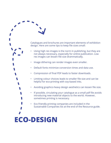Catalogues and brochures are important elements of exhibition design. Here are some tips to keep file sizes small:

- Using high res images is the norm in publishing, but they are not always necessary, especially for online publication. Low res images can lessen file size drammatically.
- Image dithering can render images even smaller.
- Default fonts minimize conversion times and data use.
- Compression of final PDF leads to faster downloads.
- Limiting colour choices leads to smaller file size and can be helpful for eco-printing with soy-based inks.
- Avoiding graphics-heavy design aesthetics can lessen file size.
- If possible, circulating your catalogue as a small pdf file avoids introducing new material objects to the world. However, sometimes printing is necessary.
- Eco-friendly printing companies are included in the Sustainable Companies list at the end of the Resource guide.

# **ECO-DESIGN**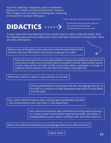Vinyl PVC lettering is frequently used in exhibitions because it is cheap and looks professional. However, PVC is highly toxic and does not biodegrade, remaining in the world for at least 1000 years.

**DIDACTICS**

*Greener alternatives take three factors into account:* 

- *• The materials used (plastic, paint, paper, etc.)*
- *• The quantity of materials needed*
- *• The overall need for a text to be printed*

A major issue with vinyl lettering is that a whole sheet is used to make the labels. All of the negative space becomes waste that is toxic and takes centuries to break down. There are many alternatives:

Make a map of the gallery and customize it with the placement of the artworks and the information that would usually go on a label.

There are many options for hand-making labels including: writing labels in natural inks or watercolours (make sure the writing meets accessibility critieria). Experimental options include using stencils and light to fade construction paper, cyanotypes, cut paper or magazines wheat pasted on the wall, light and shadow, and projections.

Write with a pencil or pencil crayon directly on the wall.

Hiring professionals to hand-paint the text and signage directly on the wall is a costly but visually impressive alternative to vinyl labels and title walls.

Use custom stencils made by laser cutting paper (preferably recycled) - this can be done on the vinyl cutter in the department.

> Use a direct-to-substrate dye-sublimation printing method directly on a panel made of sustainable materials (recycled, recyclable, or biodegradable) to print labels, exhibition title, and other didactics.

Plastic-free adhesive wall lettering and signage exists but is difficult to find.

Digital labels.

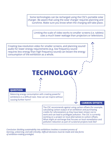Some technologies can be recharged using the CSC's portable solar charger. Be aware that using the solar charger requires planning and sunshine. Make sure you know when the charging will take place.

Limiting the scale of video works to smaller screens (i.e. tablets) uses a much lower wattage than projectors or televisions.

Creating low-resolution video for smaller screens, and planning sound/ audio for lower energy requirements (e.g. low frequency sound requires less energy than high frequency sound) can lessen the energy consumption of the exhibition as a whole.

# **TECHNOLOGY**

#### **QUESTION**

Balancing energy consumption with creating powerful exhibitions is a difficult task. How can we inspire without causing further harm?

#### **CARBON OFFSETS**

The CSC recommends *against* using carbon offsets (for example, calculating carbon output of an exhibition and purchasing credits for reforestation) as they have been shown not to work and can lead to profligate pollution. The CSC is currently working on a project on local alternatives to carbon offsets. What might an exchange that focuses on local remediation and pollution reduction as part of curatorial projects look like?

*Conclusion: Building sustainability into exhibitions involves a constant process of learning, unlearning, and self-criticality. Difficult decisions must be made and new forms of exhibition-making privileged.*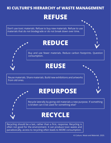## **KI CULTURE'S HIERARCHY of WASTE MANAGEMENT**

# **REFUSE**

Don't use toxic materials. Refuse to buy new materials. Refuse to use materials that do not biodegrade or do not break down over time.

# **REDUCE**

Buy and use fewer materials. Reduce carbon footprints. Question consumption.

## **REUSE**

Reuse materials. Share materials. Build new exhibitions and artworks from old ones.

# **REPURPOSE**

Recycle laterally by giving old materials a new purpose. If something is broken can it be used for something else?

# **RECYCLE**

Recycling should be a last, rather than a first, response. Recycling is often not good for the environment. It can produce toxic waste and paradoxically, access to recycling often leads to MORE consumption.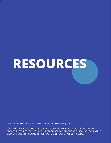# **RESOURCES**

THIS IS A LIVING DOCUMENT AND WILL BE UPDATED FREQUENTLY.

WE DO NOT RECEIVE MONEY FROM ANY OF THESE COMPANIES. IN ALL CASES, THE CSC DECIDES THE THRESHOLD FOR INCLUSION. PLEASE CONTACT US AT SUSTAINABLE.CURATING@ UWO.CA IF YOU THINK SOMETHING SHOULD OR SHOULD NOT BE INCLUDED.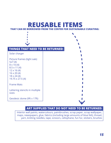### **REUSABLE ITEMS THAT CAN BE BORROWED FROM THE CENTER FOR SUSTAINABLE CURATING:**

| <b>THINGS THAT NEED TO BE RETURNED:</b><br>Solar charger<br>Picture frames (light oak): |  |
|-----------------------------------------------------------------------------------------|--|
| 5x7(4)<br>$8 \times 10(4)$<br>$8.5 \times 11(4)$                                        |  |
| $12 \times 16(4)$<br>$16 \times 20(4)$<br>$18 \times 24(4)$<br>19.75 x 27.5 (4)         |  |
| <b>Frame Mats</b>                                                                       |  |
| Lettering stencils in multiple<br>sizes                                                 |  |
| Geodesic dome (9ft x 17ft)                                                              |  |

#### **ART SUPPLIES THAT DO NOT NEED TO BE RETURNED:**

Interior wall paints, watercolours, paintbrushes, scrap paper, scrap wallpaper, maps, newspapers, glue, fabrics (including large amounts of blue felt), thread, yarn, knitting needles, tape, scissors, cellophane, fun fur, stickers, brushes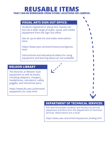## **REUSABLE ITEMS THAT CAN BE BORROWED FROM OTHER LOCATIONS ON CAMPUS:**

#### **VISUAL ARTS SIGN OUT OFFICE:**

Students registered in Visual Arts classes can borrow a wide range of audio, visual, and media equipment from the Sign Out office.

See an up-to-date list and make reservations here:

https://www.uwo.ca/visarts/resources/signout. html

Instructional and educational videos for using equipment and learning about art are available.

#### **WELDON LIBRARY**

The libraries at Western loan equipment as well as books, including adaptors, chargers, headphones, calculators, safety goggles, and interactive pens:

https://www.lib.uwo.ca/services/ equipment\_for\_loan.html



#### **DEPARTMENT OF TECHNICAL SERVICES:**

Arts and Humanities students and faculty can borrow equipment and films from the Department of Technical Services. Reservations are a must:

https://www.uwo.ca/arts/tech/equipment\_lending.html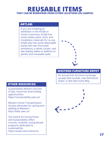## **REUSABLE ITEMS THAT CAN BE BORROWED FROM OTHER LOCATIONS ON CAMPUS:**

#### **ARTLAB:**

If you are installing an exhibition in the Artlab or Cohen Commons, Artlab has some media, paint, tools, and installation materials for re-use. Artlab also has some disposable dishes left over from past exhibitions, a velvet curtain, and two display tables in addition to plinths and moveable walls.



#### **WESTERN FURNITURE DEPOT**

An annual free furniture exchange, usually held outside, near Richmond Gates, in late April-early May.

#### **OTHER RESOURCES:**

Sustainability Western has lots of tips, resources and funding opportunities: https://sustainability.uwo.ca/

Western Active Transportation Society advocates for cycling and walking at Western: http://wats.uwo.ca/

The Centre for Environment and Sustainability offers courses, modules, and graduate programs dedicated to sustainability: https://www.uwo.ca/enviro/

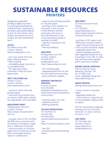## **SUSTAINABLE RESOURCES PRINTERS**

*Navigating sustainable printing is difficult as there is a lot of greenwashing and misinformation. Large-format printing is particularly difficult to find. For this reason, some of these businesses are not in London, but will mail finished work.*

#### *ACCELL*

657 Wilton Grove Rd London, Ontario www.accellgraphics.com

- zero toxic waste from the plate making process - 99% recycling - renewable power sources to run establishment - FSC approved paper (unknown if they can print large-scale)

#### *WATT SOLUTIONS INC*

40 Micro Court, London, Ontario www.wattsolutions.com

- tree farm rather than old growth paper - chemicals and solvents that are almost 100% water soluble, bio-degradable, and recyclable

#### *MINUTEMEN PRINT*

100 Bessemer Rd Unit 7 London, Ontario https://www.minutemanlondon.ca/

- all paper stock is FSC certified (60-80% post-consumer) with the option of bringing in paper that is 100% post-consumer - can print books on recycled paper with no minimum order. Most sustainable binding option is saddle-stitch

- large format printing available on recycled paper - printing is toner-based, not ink based. Toner process is 95% efficient and the waste gets sent back to the manufacturers to be re-incorporated instead of sending to landfill - rigorous recycling on the back-end - free local delivery

#### *A&B PRINT*

45 Meg Drive Unit 104 London, Ontario 519 685-0321 am@anbprint.com https://www.anbprint.com/

- FSC certified paper - vegetable-based inks for offset and large format printing - post-consumer supplies

#### *WARREN'S WATERLESS PRINTING*

Toronto, Ontario 416-745-8200 info@warrenswaterless.com https://www.warrenswaterless. com/contact/

- recycled paper, eco-inks - waterless printers - Bullfrog powered

#### *COLOUR INNOVATIONS*

161 Norfinch Dr Toronto ON 416-663-6703 questions@colourinnovations. com https://colourinnovations.com/

- low VOC - partially powered by Bullfrog Power

#### *NEW PRINT*

25-2450 Lancaster Road **Ottawa** 613-738-0531 support@newprint.ca https://www.newprint.ca/environmental-printing

- printing on FSC papers and
- 100% post-consumer papers
- large-scale printing (up to 24"
- x 36") on post-consumer paper - vegetable-based inks

- books/catalogues printed with vegetable-based ink only if quantity is over 500. If under, they will be printed digitally which uses toner instead.

#### *ENUIRO DIGITAL PRINTING*

91B Caroline St. South Waterloo, ON N2L 1X4 tel. 519 885 2333 email. edp@edprinting.com www.edprinting.com

#### *GREEN PRINTER*

www.greenprinteronline.com

- many choices in recycled paper
- vegetable based inks - some limits (i.e. large format is only available on glossy photo paper)

*The CSC recommends risograph printing as an eco-conscious choice for 2-3 colour and any size up to 11x17*

#### *VIDE PRESS*

101 Sheridan Ave Toronto, Ontario www.videpress.ca info@videpress.ca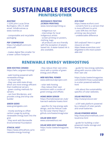## **SUSTAINABLE RESOURCES PRINTERS/OTHER**

#### *ROOTREE*

1-5295 John Lucas Drive Burlington, ON L7L 6A8 email. info@rootree.ca www.rootree.ca

- compostable and recyclable packaging

#### *PDF COMPRESSOR*

https://smallpdf.com/compress-pdf

- makes digital files smaller for a lower carbon footprint

#### *REZONANCE PRINTING (SCREEN PRINTING)*

www.rezonanceprinting.ca

- Indigenous-run - internships for local Indigenous artists - screen printing on posters, clothing, bags - all products are eco-friendly

with the exception of plasticbased ink. A water-based ink is also available.

#### *ECO FONT*

https://www.ecofont.com/ - converts font to a version that is more efficient to print - uses 50% less ink than printing raw document - undetectable difference

*Still confused? Here is a good resource on inks: https://www.ecoenclose.com/ blog/what-is-the-most-sustainable-ink/*

## **RENEWABLE ENERGY WEBHOSTING**

#### *WEB HOSTING CANADA*

https://whc.ca/green-hosting/

- web hosting powered with renewable energy
- no fossil fuels
- they use solid state drives which are more energy efficient than traditional servers - green cooling methods for
- servers
- can host Wordpress, and provide a drag and drop site builder

#### *GREEN GEEKS*

www.greengeeks.com

- mostly working to offset carbon usage by putting renewable energy back into the grid.
- they work with Bonneville Environmental Foundation

#### *ETHICAL HOST*

https://www.ethicalhost.ca/renewable-energy-hosting/

- they reduce their own emissions with a combo of green energy and offsets

#### *WEB NEUTRAL POWER*

www.webneutralproject.com

- solar web hosting - they reduce their own emissions with a combo of green energy and offsets

*HOME BREW SERVER* https://homebrewserver.club/ low-tech-website-howto.html

- specifics for low-energy web design, and the Pelican code for the solar theme https:// github.com/lowtechmag/solar

*SOLAR WEB HOST* www.solarwebhost.net

#### *SOLAR WEB HOST MAGAZINE*

https://solar.lowtechmagazine. com/

- guide for low energy websites, along with source code from their own site

https://solar.lowtechmagazine. com/2020/01/how-sustainableis-a-solar-powered-website. html

- info about the sustainability specifics of solar websites.

*SOLAR PROTOCOL*

http://solarprotocol.net/

- a DIY web platform powered by a network of solar panels and small batteries.

#### *SOLAR-POWERED MEDIA*

http://lowcarbonmethods.com/ local/zine.html

- guide for building a solarpowered media storage and sharing server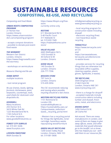## **SUSTAINABLE RESOURCES COMPOSTING, RE-USE, AND RECYCLING**

#### *Composting and Food Waste*

#### *URBAN ROOTS COMPOSTING PROGRAM*

21 Norlan Ave London Ontario https://www.urbanrootslondon.ca/composting-program/

- accepts compost donations - possible to donate post-event food waste

#### *THE WORMERY*

Western Fair District London, Ontario https://www.thegrovewfd.com/ the-wormery

- workshops on vermiculture

*Resource Sharing and Re-use*

*HOME DEPOT* multiple locations

- tool rental program

*Re-use: frames, books, lighting, furniture, kitchenware, paint, tarpaulins, countertops, tools, used sheets for dustcovers and dropcloths etc.* 

#### *GOODWILL*

Many locations: 255 Horton St E. 3410 White Oak Rd 1225 Wonderland Rd N. 1165 Oxford St E. For other locations: www.goodwillindustries.ca

#### *FOREST CITY SURPLUS*

tel. 519 451 0246 www.fcsurplus.com

*LIFESPIN FREESTORE* 866A Dundas St

https://www.lifespin.org/freestore currently online only

#### *RESTORE*

611 Wonderland Rd N. 5-40 Pacific Court 317 Adelaide St tel. 519 659 1949 https://habitat4home.ca/restore/

*VALUE VILLAGE* 4465 Wellington Rd S.

1553 Dundas St 30 Oxford St W London, Ontario

#### *GOOD VALUE*

140 Dundas St London, Ontario 226-777-7596

#### *MISSION STORE* 797 York St London, Ontario 519-439-3056

*The CSC recommends reducing and reusing where possible. recycling should be a last choice.*

#### *WESTERN RECYCLING PORTAL*

1151 Richmond St London ON sustainability@uwo.ca https://sustainability.uwo.ca/ Campus/waste\_reduction/ waste\_\_recycling\_portal.html

- Western has a recycling portal for things like lightbulbs, toner cartridge, hazardous waste, repurposing wood/furniture

#### *GREEN VALLEY RECYCLING*

1200 Green Valley Road London, Ontario, N6N 1E3 tel. 519 681 0606

info@greenvalleyrecycling.ca www.greenvalleyrecycling.ca

- local recycling program for construction waste including drywall
- electronic recycling (free) - non-hazardous waste
- recycling

#### *TERRACYCLE*

https://www.terracycle.com/ en-CA and https://zerowasteboxes. terracycle.ca/collections/zero-waste-boxes

- provides services for recycling things that are otherwise not recyclable (office supplies, cleaning supplies, plastic gloves, lightbulbs, e-waste).

#### *TRY RECYCLING*

3544 Dingman Drive 21463 Clark Rd London, Ontario N6E 3X1 www.tryrecycling.com

- there is a charge for dropoff - accepted materials include construction debris including lumber and drywall, freon units, metal, and electronics

#### *ENVIRO DEPOT*

1450 Oxford St W. 28 Clarke Rd

*Ask around. There are many manufacturers in London, and some of them are happy to give away offcuts, waste, and other materials that would otherwise go to the landfill. Let us know who has helped you out - we'll add them to our resources file.*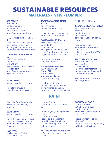## **MATERIALS - NEW - LUMBER SUSTAINABLE RESOURCES**

#### *AFA FOREST*

98 Clarke Rd London, Ontario 519-457-2311 info@afaforest.com https://www.afaforest.com

- FSC certified lumber in London

- plywood, hardwood, joints, framing for construction for building plinths, temporary structures, and moveable walls

#### *COMMONWEALTH PLYWOOD CO*

1010 Green Valley Rd London 519-681-5304 webmaster@commonwealthplywood.com https://www.commonwealthplywood.com/en/

*HOME DEPOT* multiple locations in London

- look for PureBond formaldehyde-free plywood

*Wall paint for gallery installation, moveable walls and large surfaces*

*HOME DEPOT* multiple locations in London

- off-tint cans of paint (rejects) - low and zero VOC paint (BEHR Premium line; look for the Ecologo)

*MILK PAINT* available at Lee Valley 2100 Oxford St E

#### *SOURCING CLIMATE-SMART WOOD*

https://sourcing. climatesmartwood.org/

- a useful resource for sourcing wood across North America

#### *CANADIAN WOOD SUPPLIES*

156642 Line 15 R.R #1, Lakeside ON 647-638-8404 sales@sonofawoodcutter.ca https://sonofawoodcutter.ca/ pages/raw-lumber-supplies

- sustainably-sourced, Canadian lumber

#### *ECO BUILDING RESOURCE*

136 Wellington St E Aurora ON 905-841-3535 info@eco-building.ca https://eco-building.ca/

- environmentally friendly cleaners, hardware, paints/ stains/finishes, adhesives - works with contractors aiming

### **PAINT**

London Ontario https://shop.homesteadhouse. ca

- 100% organic, biodegradable paint

- 0 VOC, non-toxic
- based on a milk protein

- good for painting plinths, shelves, lettering on walls, but not entire walls

*You can also make your own milk paint - there are many recipes online.* 

#### for LEEDS certifications

#### *CANADIAN SALVAGED TIMBER*

442 Dufferin St Unit J Toronto ON info@cstimber.ca https://www. canadiansalvagedtimber.ca/ about-cst/

- reclaimed wood - sourced from Southern Ontario - also sells natural, low VOC wood finishes

#### *TIMELESS MATERIAL CO*

305 Northfield Dr E Waterloo ON 519-883-8683 info@timelessmaterials.com https://www.timelessmaterials. com/wood-products

- reclaimed wood, barnboard, flooring, timber

#### *BOOMERANG PAINT*

available at RONA 820 Blythwood Road London, Ontario https://www.peintureboomerang.com/en/

- recycled interior paint
- low VOC
- they do recycle paint, but only in Quebec at this time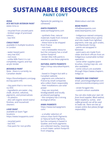## **SUSTAINABLE RESOURCES PAINT CON'T**

#### *RONA*

*ECO RECYLED INTERIOR PAINT* www.rona.ca

- recycled from unused paint - limited range of premixed

- colours
- low VOC

#### *CHALK PAINT*

available in multiple locations in London

- water-based paint
- very low VOC
- non-toxic

- unlike Milk Paint it is not completely organic and has acrylic binder

#### *BIOSHIELD PAINT*

Note - there is currently no Canadian dealer

https://bioshieldpaint.com/pages/clay-paint-info

- clay paint that is non-toxic, no-VOC

- ingredients are water, clay, chalk, alcohol, cellulose, pigments, and preservatives - no plastics - also sell organic wood stains/

finishes, and household cleaners

#### *LOOP PAINT*

available at Giant Tiger **locations** https://www.looppaints.com/

- recycled paint
- low VOC
- free paint for non-profits

*Pigments for painting (i.e. canvasses)*

#### *EARTH PIGMENTS*

www.earthpigments.com

- synthetic-free, natural materials made from mineral and mica powders - these have to be shipped from France - non-toxic - not a renewable resource but the company has a small carbon footprint - binder (like milk paint) is needed to use these pigments

#### *NATURAL EARTH PIGMENTS*

https://shop.naturalearthpaint. ca/

- based in Oregon but with a Canadian website - pigments are collected in France by small companies who collect them responsibly - their installations use solar power - they use recycled,

biodegradable and locally produced packaging - the company has a strong ecological ethos

#### *KAMA PIGMENTS*

https://www.kamapigment. com/

- a smaller selection of colours than Earth Pigments or Natural Earth Pigments, but the company is based in Quebec and most pigments are collected nearby, meaning a much lower carbon footprint from shipping.

#### *Watercolours and inks*

*BEAM PAINTS* info@beampaints.com www.beampaints.com

- Indigenous-owned company
- beautiful watercolour paints and inks made from lightfast pigments, tree sap, gum arabic, and Manitoulin honey - paints are wrapped in beeswax
- paint pans are made from cedar and birch offcuts from an Indigenous sustainable lumber operation
- some other supplies (paint brushes, mixing trays etc. are also available)
- some colours are available through https://www.chapters. indigo.ca

#### *TORONTO INK COMPANY*

email. jasonslogan@gmail.com www.torontoinkcompany.com/

- street foraged inks
- custom colours available

*You can also make your own ink from local supplies. Black walnut, black raspberry, sumac, and coffee grounds can all be used to make ink. There are lots of recipes online (but please forage responsibly).*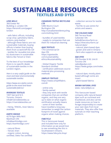## **SUSTAINABLE RESOURCES TEXTILES AND DYES**

#### *LENS MILLS*

360 Exeter Rd Building 2, London ON https://lensmill.com/pages/ london

- sells fabric offcuts, including scrap vinyl, upholstery fabric, cottons, poly-leather - although these fabrics are not sustainable materials, buying offcuts is better than buying them from scratch/off the roll - textiles for reusable (not plastic) dustcovers in sustainable fabrics like Tencel or linen

To the best of our knowledge there is no specific dealer of sustainable textiles in the London-region.

*Here is a very useful guide on the most and least environmentally sustainable textiles:*

*https://www.eco-stylist.com/aguide-to-the-most-and-leastsustainable-fabrics/*

#### *RIVERSIDE TEXTILES*

1007 Gerrard St E. Toronto, Ontario info@riversidetextiles.ca https://riversidetextiles.ca/

- Hemp, TENCEL, linen fabrics available

#### *EARTH INDIGO*

4279 Elgin Mills Rd E Markham ON info@earthindigo.com https://earthindigo.com/

#### - natural fibres

- Tencel, linen

- organic cotton, lenzing certified, Oeko-Tex certified

#### *CANADIAN TEXTILE RECYCLING LTD*

5385 Munro Court Burlington ON http://canadiantextilerecycling. com/clothing.html

- bundles of used textiles - supply to companies that use them for industrial cleaning

#### *AJAX TEXTILES*

170 Commercial Dr Ajax ON https://ajaxtextile. com/sustainabilityethics/#sustainability

- Global Organic Textile Standard certified - certification addresses source material plus processing methods

#### *SIMPLIFI TEXTILES*

https://www.simplififabric. com/#

- online only
- family-owned
- they only work with textile companies that are certified organic, and they are very up to date on what organic certification actually means - some of their textiles have travelled a long way remember to weigh the carbon footprint of travel against organic when making choices.

#### *FABCYCLE*

This is Vancouver-based and included here only for information as we would love to see something like this in Southwestern Ontario. https://www.fabcycle.shop/

- collection service for textile waste

- TexTile re-use centre for artists and sewers.

#### *THE COLOUR FARM*

560 Terrace Road Callander ON hello@thecolourfarm.ca https://thecolourfarm.ca/ natural-dyes/

- natural, plant-based dyes - grown and sold in Ontario
- 
- farm also supports an apiary

#### *G&S DYES*

250 Dundas St W, Unit 8 Toronto ON sales@gsdye.com https://www.gsdye.com/index. html

- natural dyes; mostly plantbased although some are insect

- plant-based fabrics

#### *MAIWA NATURAL DYES*

www. naturaldyes.ca

This Vancouver-based company sells natural-based dyes such as cochineal and brazilwood, and also carries made resources on how to forage (responsibly) to create your own dyes from local materials. They also offer free tutorials on their teaching platform.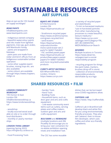## **SUSTAINABLE RESOURCES ART SUPPLIES**

*Keep an eye out for CSC-hosted art supply exchanges!*

#### *BEAM PAINTS*

info@beampaints.com www.beampaints.com

- Indigenous-owned company - beautiful watercolour paints and inks made from lightfast pigments, tree sap, gum arabic, and Manitoulin honey - paints are wrapped in beeswax

- paint pans are made from cedar and birch offcuts from an Indigenous sustainable lumber operation

- some other supplies (paint brushes, mixing trays etc. are also available)

- some colours are available through https://www.chapters. indigo.ca

#### *BIJAN'S ART STUDIO*

673 Richmond St London ON https://bijansartstudio.ca/

- Strathmore recycled paper https://www.strathmoreartist. com/green-recycled.html - sand erasers https://bijansartstudio. ca/product/tombomono-sand-eraser-set-2 pack/?v=3e8d115eb4b3 - FSC certified pastel paper https://bijansartstudio.ca/ product/bee-papers-pastelpapers/?v=3e8d115eb4b3 and more recycled/sustainable products

#### *CURRY'S ARTIST MATERIALS*

820 Wharncliffe Rd S. London, Ontario https://www.currys.com - a variety of recycled paper and sketchbooks - Tri-Art re-harvested mediums "use re-harvested particles from other manufacturing processes to create beautiful, texture mediums." https://www.currys.com/ catalogpc.htm?Category=TRI\_ ART\_RE-HARVESTED\_ MEDIUMS&Source=Search

#### *DESERRES*

Multiple locations in Toronto https://www.deserres. ca/pages/reart-a-socialresponsibility-program

- recycling program for things like paint tubes, markers, brushes (drop-off in store) - collection of environmentally responsible products, identifiable by eco-logo

### **SHARED RESOURCES + FILM**

#### *LONDON COMMUNITY WORKSHOP*

195 Horton St East London ON info@londonwoodshop.ca https://www.londonwoodshop. ca/

#### - woodshop

- locally-sourced wood available on site or to order through local distributers - monthly or yearly memberships

#### *LONDON THING LIBRARY*

(opening Spring 2022) https://thinglibrary.ca/about-us

- Food Processing Tools

- Garden Tools
- Hand Tools
- Building Tools

- Household items, such as door gear and arts and crafts equipment

 - Low waste community event items such as cutlery, serving plates and coffee makers. outdoor gear and arts and crafts equipment

#### *BULK BARN* and *REIMAGINE*

(multiple locations and 206 Picadilly St) encourage you to bring your own containers for no-waste exhibition opening treats and installation fuel.

The CSC has some reusable

dishes that can be borrowed once COVID-regulations allow.

#### *CAFFENOL LAB*

https://www. http://caffenollab. com/

Caffenol Lab in Brantford will develop black and white film fot you using environmentally friendly processes. They also sell Cawanol, their in-house film developer, which uses coffee and other eco-friendly ingredients.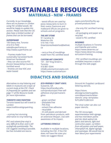## **MATERIALS - NEW - FRAMES SUSTAINABLE RESOURCES**

*Currently, to our knowledge, there are no framers in London using FSC certified woods. We would be happy to update this section. Please note that the CSC does have a limited number of frames that can be borrowed.*

#### *SUPERFRAME*

100 Geary Ave, Toronto 416-913-7590 sales@superframe.ca http://www.superframe.ca/

 - Frames made from sustainably harvested North American hardwood - they can also source FSC (Forest Stewardship Council) certified wood - finishes are low VOC and water-based

- wood offcuts are used by pizza restaurants to burn in their ovens; foamcore and matboard offcuts are given to schools and art programs

#### *THE ART STORE*

91 Caroline St Waterloo ON 519-744-1103 theartstoreofwaterloo@bellnet. ca

- carry a line of mouldings made from FSC certified wood

#### *CUSTOM ART CONCEPTS*

101 - 507 King Street E., **Toronto** 416-861-0544 info@customartconcepts.com https://www.customartconcepts.com/html/fsc/fsc-approved-products.html

- the only FSC certified framing store
- all packaging and paper are recycled
- wood is FSC certified

#### *DESERRES*

multiple locations in Toronto and Oakville and online https://www.deserres.ca/ https://www.deserres.ca/pages/custom-framing

- FSC certified mouldings are available (requires a search through the web page)

## **DIDACTICS AND SIGNAGE**

*Alternatives to vinyl lettering and labels in museums are a topic of current study at the CSC. Check in frequently for updates and see page 11 of the Resource Guide for more information.* 

#### *TORONTO SIGN PAINTING*

Toronto-based but will travel to London www.traditionalsignpainting. ca/

- a pricey but stunning alternative to vinyl lettering

*PVC and solvent-free vinyl is very difficult to find, and is still ecologically questionable. The CSC suggests avoiding if possible, but has included one source.*

#### *ECO-FRIENDLY CRAFT VINYL*

Suwanne, GA https://ecofriendlycrafts. com/products/pvc-free-selfadhesive-vinyl-permanentgloss

- green certified
- phthalate free
- PVC-free
- solvent free adhesive
- recyclable

- it's still plastic and derived from petroleum products, with an extensive lifespan. Use with awareness of its impact.

#### *LETTERING STENCILS*

Available in multiple locations, including the CSC. If the CSC does not have the sizes you need, we suggest Above

Ground Art Supplies' cardboard lettering stencils.

https://store. abovegroundartsupplies. com/departments/letterstencils--amp--templates- %7CL8%7CL8B.html

The vinyl cutter can also cut paper stencils.

*25 hear about your experiments!The CSC encourages experimentation with signage, and has tried Beam paints and ink, black walnut ink, fabric and stencils, light and contruction paper, cut letters from old posters and wall paper, chlorophyll ink, digital signage, and cyanotype. We would love to*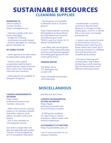## **CLEANING SUPPLIES SUSTAINABLE RESOURCES**

#### *REIMAGINE CO*

206 Piccadilly St London Ontario https://reimagineco.ca/

- cleaning supplies with zero waste packaging

- vinegar for cleaning

- all products are plant-based

- laundry detergent for washing gloves, blankets, etc

#### *RE-USABLE GLOVES*

- cotton gloves as an alternative to disposable plastic gloves

- Tencel is also a good sustainable material (plantbased and less water-intensive than cotton; less chemically intensive than bamboo)

- cotton gloves are available at Shoppers Drugmart

- Tencel gloves are available at Walmart (sold as "Eczema gloves")

https://www.walmart.ca/en/ip/ RemedyWear-Eczema-Glovesfor-Kids-Relief-From-Eczemaand-Inflammation-with-TENCEL-and-Zinc-Youth-10-12- White/1GTIRO8SE7MI

- Lee Valley sells tencel gloves as liners: https://www.leevalley. com/en-ca/shop/tools/appareland-safety-gear/gloves/31204 cotton-glove-liners

#### *IONIZED WATER*

The Water Store 371 Wellington Rd London ON

https://thewaterstorelondon. com/index.php

- ionized water is used by institutions like the Field Museum in Chicago to clean display glass, since it's a cleaner that is non-toxic, not heavily processed, etc.

- it seems very counterintuitive to recommend it since it's a bottled product that the zerowaste stores don't have, but it can be purchased in a refillable tank and decanted into reusable spray bottles.

- info about cleaning with ionized water: http://www. dscleaning.co.uk/8-cleaningtips/18-ionized-water-as-aneffective-cleaning-product

#### *LONDON ENVIRONMENTAL NETWORK*

https://www. londonenvironment.net/ member resources

- offers resources for running events to its members (plasticfree water stations, tents, tables, reusable cutlery and plates) - info is also available on running green events.

*If an event is longer than one day and registered with London Tourism, it may be eligible for an LTC Convention Pass which* 

## **MISCELLANEOUS**

#### *provides free bus transit*

#### *LONDON ENVIRONMENTAL ACTION INCUBATOR*

https://www. londonenvironment.net/ environmental\_incubator

- \$1000 grants available for orgs trying to reduce emissions, reduce waste, and enhance waterways

#### *SUSTAINABILITY AT WESTERN*

https://sustainability.uwo.ca/

Lots of resources here for on campus initiatives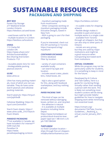## **PACKAGING AND SHIPPING SUSTAINABLE RESOURCES**

#### *BEST BOX*

Forest City Storage 277 Maitland Street London Ontario https://bestbox.ca/used-boxes

- used boxes sold for \$2.99 - multiple locations in London https://bestbox.ca/locations

#### *UHAUL*

112 Clarke Rd London ON https://www.uhaul.com/ Articles/Sustainability/ Box-Sharing-And-Green-Products-112/

- reusable plastic bins for rent - biodegradable packing peanuts (starch)

#### *ULINE*

www.uline.ca

Uline has many packing materials, most of which are not sustainable. They do have some starch peanuts and cellulose packing materials.

Starch peanuts: https://tinyurl. com/jxph9xd8

Cellulose Wadding: https://tinyurl.com/2xmvx9ch

Starch foam sheets: https:// www.uline.ca/BL\_3167/Starch-Foam-Sheets

#### *PARADISE PACKAGING*

\*\*not available in Canada. we have included it for interest\*\* 5399 Clark Rd Paradise CA https://www. paradisepackaging.co/store

- mycelium packaging made from mushrooms - Other companies working on mycelium packaging include Evocative Designs, based in New York - IKEA is going to use it for their packaging

If you're interested, check out this DIY workshop in Toronto https://nanopod.tv/tag/ mycelium/

#### *CONTAINER EXCHANGE*

Online database Filter by location

- variety of used containers available locally - can search by type and location - includes wood crates, plastic bins, metal boxes, etc

- kijiji is also a good option for this, along with facebook marketplace, and buy nothing groups

#### *PAPER PACKING TAPE*

- This kind of tape can be removed without damaging boxes, written on, and recycled. - the adhesive is natural - it is available at multiple locations including Home Depot: https://www.homedepot.ca/

product/duck-brand-ez-tearpaper-tape-tan-1-88-inch-x-25 yd-/1001384344

#### *TURTLEBOX*

no fixed Canadian location – ships through fine art shippers info@turtlenorthamerica.com

#### https://turtlebox.com/en/

- re-usable crates for shipping artwork

- flexible design makes it possible to pack and secure multiple works in a single crate - available from Toronto through art-shippers, but they can also ship to other parts of Ontario

- rentals are very pricey, but they are used by major institutions and might be a good resource when transporting borrowed work from institutions

#### *VIRTUAL COURRIERS*

While this program may not be particularly useful for students, it is something to keep in mind for the future.

Developed by Ki Culture and Tate Gallery, here is a guide for couriering things virtually rather than sending a person with the work. This is likely not something most student curators will be doing but might provide helpful guidelines for how to navigate shipping work while minimizing non-essential travel.

https://cimam.org/ documents/154/Tate\_Courier\_ Guidelines - Realising a virtual courier January 2021. pdf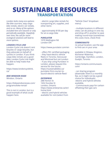## **TRANSPORTATION SUSTAINABLE RESOURCES**

*London lacks many eco-options like bike courriers, easy cargo bike rentals, electric car rentals, and so on. Many of the options included here are nascent or only periodically available. Hopefully over time, the call for more ecological solutions will lead to more options.* 

#### *LONDON CYCLE LINK*

London Cycle Link doesn't rent bicycles or cargo bicycles, but they advocate on behalf of cyclists in London. If you think cargo bike rentals are a good idea, London Cycle Link might be able to help make that happen.

https://www.londoncyclelink. ca/

#### *BIKE WINDSOR ESSEX*

Windsor, Ontario

https://bikewindsoressex.com/ programs/bike-rental/

This is not in London, but is a good example of what could happen here.

- electric cargo bike rentals for transporting art, supplies, and other items

- approximately \$100 per day for an e-cargo bike

#### *PUROLATOR*

1070 Wellington Rd London ON

https://www.purolator.com/en

- offers FSC certified packaging - they have electric vehicle fleets in Toronto, Vancouver and Montreal but not London - if you ship using Purolator in London, please request this service for the future: https://sustainablebiz.ca/ purolator-first-courier-tolaunch-electric-vehicle-fleet/

#### *ENTERPRISE*

288 Horton St 1652 Dundas St London, Ontario https://www.enterprise.ca/en/ home.html - electric and hybrid vehicles available for rent (select from

"Vehicle Class" dropdown menu)

- multiple locations in different cities; can do pickup in one city and drop-off in another to save making round-trips (sometimes this costs more, check first)

#### *COMMUNAUTO*

no actual location; use the app to find cars in your area

available in Ottawa, Kingston, Kitchener-Waterloo, Cambridge, Hamilton, London, Guelph, Toronto

https://ontario.communauto. com/

- car sharing program (downside: there is a monthly fee, so it might not be a good choice for individuals) -electric and hybrid vehicles available,

- Communauto pays for carbon offsetting their gas cars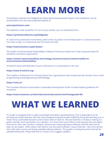# **LEARN MORE**

*The Synthetic Collective DiY Fieldguide for Reducing the Environmental Impact of Art Exhibitions* can be downloaded from the solar powered website at:

#### **www.plasticheart.solar**

The website is solar powered. If it isn't sunny outside, you can download from:

#### **https://syntheticcollective.org/fieldguide/**

Ki Culture has produced an extremely useful series of guides on lessening waste in curatorial practice. You have to sign in to download, but the books are free:

#### **https://www.kiculture.org/ki-books/**

*The Toolkit on Environmental Sustainability in Museum Practice* provides lots of tips and great ideas for exhibition and event organization:

**https://cimam.org/sustainability-and-ecology-museum-practice/cimams-toolkit-onenvironmental-sustainability/**

Art/Switch hosts well-attended virtual conferences on sustainability in the arts:

#### **https://www.artswitch.org/**

The Coalition of Museums for Climate Justice lists organizations that incorporate the climate crisis in their programming and programming methodology:

#### **https://cmcj.ca/**

The Canadian Museums Association Sustainable Development Guide includes helpful guidelines for museums:

**https://www.museums.ca/client/document/documents.html?categoryId=361**

# **WHAT WE LEARNED**

It's tough to navigate what is really sustainable and what is greenwashing. This is especially true for printing and waste disposal. We had many disappointing phonecalls! Hopefully this guide will help you to make more sustainable decisions and to learn what to look for. We also learned a lot about making our guide and files more accessible. Our intention is to share the source files so that anyone else can adjust and use for their own location. However, because we used proprietary software, the files won't be as open as we hoped - other editors will need to use the same software. Lesson learned - next time we will start with open source and freely available editing software. This guide is a living document and will be updated frequently. Please feel free to contact us to suggest updates.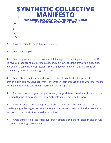

- **1.** If you're going to make it, make it count.
- *2.* Lead by example.

*3.* Take steps to mitigate environmental damage of art making and exhibitions. Doing so reveals other economies of inequality and acknowledges the art world's culpability in upholding systems of oppression. Projects should enhance initiatives aimed at preventing, reducing, and mitigating harm.

*4.* Learn about the toxicity and harm of materials involved in the production of artworks/exhibitions. Consider what is involved in their production and what that means for the environment. Weigh this information against point 1.

*5.* Reuse and recycling can happen at every stage: different aesthetics for exhibition curation that privilege reuse over new materials should become the norm.

*6.* Invest in alternate shipping systems and packing practices. Borrowing from a smaller geographic region, reusing packing materials and crates, and finding low-carbon methods of transportation should be standard.

**7.** Avoid transferring responsibility: carbon offsets alone are not enough and should be understood as greenwashing.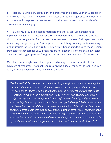*8.* Negotiate exhibition, acquisition, and preservation policies. Upon the acquisition of artworks, artist contracts should include clear choices with regards to whether or not artworks should be preserved/conserved. Not all art works need to be thought of as permanent or unchanging.

**9.** Build circularity into in-house materials and energy use: use exhibitions to implement longer term strategies for carbon reduction, which may include contracts with museums or galleries for concrete measures to reduce fossil fuel dependency such as sourcing energy from green(er) suppliers or establishing exchange systems among local museums for exhibition furniture. Establish in-house standards and measurement protocols to reach targets. LEED programs are not enough if it means that new capital plans and building projects are foregrounded as the only way forward for museums.

*10.* Embrace enough: an aesthetic goal of achieving maximum impact with the minimum of resources. That goal requires drawing a line of "enough" at every decision point, including energy systems and work schedules.

*ecological footprints must be taken into account when weighing aesthetic decisions. The Synthetic Collective espouses an approach of enough. We see this as meaning that An aesthetic of enough is one that simultaneously acknowledges and values the past, ecological footprints must be taken into account when weighing aesthetic decisions. present, and future—enough already!—in its refusal of high carbon, high energy, An aesthetic of enough is one that simultaneously acknowledges and values the past, high waste productions. An approach of enough requires humility, and practicality: present, and future—enough already!—in its refusal of high carbon, high energy, sustainability, in terms of resources and human energy, is directly linked to systems that high waste productions. An approach of enough requires humility, and practicality: can break if we overspend them. It means we should put in a lot of effort to build more sustainability, in terms of resources and human energy, is directly linked to systems that equitable worlds, but that should be accompanied with an ethic of care, mindful that we can break if we overspend them. It means we should put in a lot of effort to build more don't burn out and the planet doesn't burn up. Enough is an aesthetic based in achieving equitable worlds, but that should be accompanied with an ethic of care, mindful that we don't burn out and the planet doesn't burn up. Enough is an aesthetic based in achieving goal of museum-standard perfection and a culture that valorizes work above all else. maximum impact with the minimum of resources. Enough is a counterpoint to the implied goal of museum-standard perfection and a culture that valorizes work above all else.* 

*The Synthetic Collective espouses an approach of enough. We see this as meaning that*